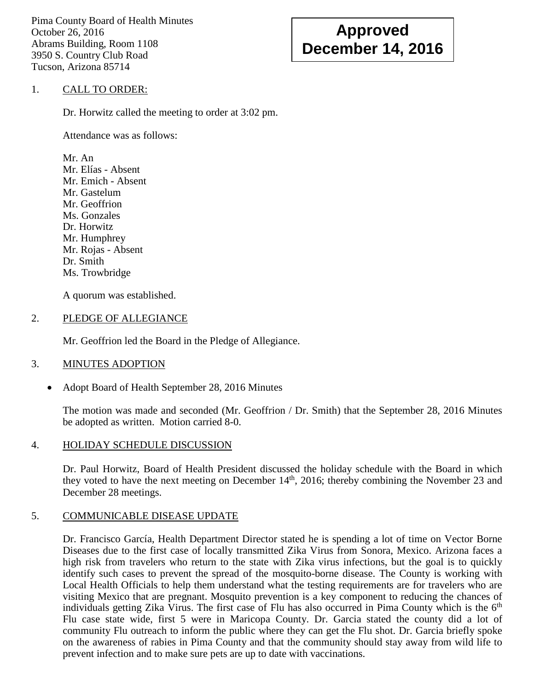Pima County Board of Health Minutes October 26, 2016 Abrams Building, Room 1108 3950 S. Country Club Road Tucson, Arizona 85714

# **Approved December 14, 2016**

#### 1. CALL TO ORDER:

Dr. Horwitz called the meeting to order at 3:02 pm.

Attendance was as follows:

Mr. An Mr. Elías - Absent Mr. Emich - Absent Mr. Gastelum Mr. Geoffrion Ms. Gonzales Dr. Horwitz Mr. Humphrey Mr. Rojas - Absent Dr. Smith Ms. Trowbridge

A quorum was established.

#### 2. PLEDGE OF ALLEGIANCE

Mr. Geoffrion led the Board in the Pledge of Allegiance.

## 3. MINUTES ADOPTION

• Adopt Board of Health September 28, 2016 Minutes

The motion was made and seconded (Mr. Geoffrion / Dr. Smith) that the September 28, 2016 Minutes be adopted as written. Motion carried 8-0.

## 4. HOLIDAY SCHEDULE DISCUSSION

Dr. Paul Horwitz, Board of Health President discussed the holiday schedule with the Board in which they voted to have the next meeting on December  $14<sup>th</sup>$ , 2016; thereby combining the November 23 and December 28 meetings.

## 5. COMMUNICABLE DISEASE UPDATE

Dr. Francisco García, Health Department Director stated he is spending a lot of time on Vector Borne Diseases due to the first case of locally transmitted Zika Virus from Sonora, Mexico. Arizona faces a high risk from travelers who return to the state with Zika virus infections, but the goal is to quickly identify such cases to prevent the spread of the mosquito-borne disease. The County is working with Local Health Officials to help them understand what the testing requirements are for travelers who are visiting Mexico that are pregnant. Mosquito prevention is a key component to reducing the chances of individuals getting Zika Virus. The first case of Flu has also occurred in Pima County which is the  $6<sup>th</sup>$ Flu case state wide, first 5 were in Maricopa County. Dr. Garcia stated the county did a lot of community Flu outreach to inform the public where they can get the Flu shot. Dr. Garcia briefly spoke on the awareness of rabies in Pima County and that the community should stay away from wild life to prevent infection and to make sure pets are up to date with vaccinations.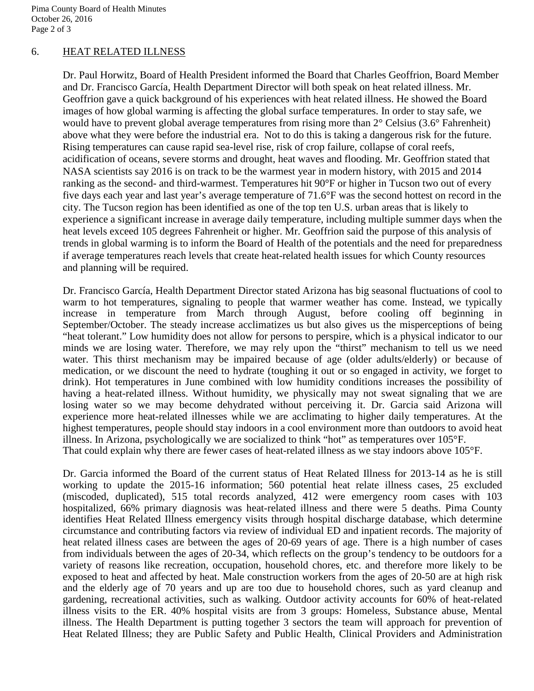Pima County Board of Health Minutes October 26, 2016 Page 2 of 3

#### 6. HEAT RELATED ILLNESS

Dr. Paul Horwitz, Board of Health President informed the Board that Charles Geoffrion, Board Member and Dr. Francisco García, Health Department Director will both speak on heat related illness. Mr. Geoffrion gave a quick background of his experiences with heat related illness. He showed the Board images of how global warming is affecting the global surface temperatures. In order to stay safe, we would have to prevent global average temperatures from rising more than  $2^{\circ}$  Celsius (3.6° Fahrenheit) above what they were before the industrial era. Not to do this is taking a dangerous risk for the future. Rising temperatures can cause rapid sea-level rise, risk of crop failure, collapse of coral reefs, acidification of oceans, severe storms and drought, heat waves and flooding. Mr. Geoffrion stated that NASA scientists say 2016 is on track to be the warmest year in modern history, with 2015 and 2014 ranking as the second- and third-warmest. Temperatures hit 90°F or higher in Tucson two out of every five days each year and last year's average temperature of 71.6°F was the second hottest on record in the city. The Tucson region has been identified as one of the top ten U.S. urban areas that is likely to experience a significant increase in average daily temperature, including multiple summer days when the heat levels exceed 105 degrees Fahrenheit or higher. Mr. Geoffrion said the purpose of this analysis of trends in global warming is to inform the Board of Health of the potentials and the need for preparedness if average temperatures reach levels that create heat-related health issues for which County resources and planning will be required.

Dr. Francisco García, Health Department Director stated Arizona has big seasonal fluctuations of cool to warm to hot temperatures, signaling to people that warmer weather has come. Instead, we typically increase in temperature from March through August, before cooling off beginning in September/October. The steady increase acclimatizes us but also gives us the misperceptions of being "heat tolerant." Low humidity does not allow for persons to perspire, which is a physical indicator to our minds we are losing water. Therefore, we may rely upon the "thirst" mechanism to tell us we need water. This thirst mechanism may be impaired because of age (older adults/elderly) or because of medication, or we discount the need to hydrate (toughing it out or so engaged in activity, we forget to drink). Hot temperatures in June combined with low humidity conditions increases the possibility of having a heat-related illness. Without humidity, we physically may not sweat signaling that we are losing water so we may become dehydrated without perceiving it. Dr. Garcia said Arizona will experience more heat-related illnesses while we are acclimating to higher daily temperatures. At the highest temperatures, people should stay indoors in a cool environment more than outdoors to avoid heat illness. In Arizona, psychologically we are socialized to think "hot" as temperatures over 105°F. That could explain why there are fewer cases of heat-related illness as we stay indoors above 105°F.

Dr. Garcia informed the Board of the current status of Heat Related Illness for 2013-14 as he is still working to update the 2015-16 information; 560 potential heat relate illness cases, 25 excluded (miscoded, duplicated), 515 total records analyzed, 412 were emergency room cases with 103 hospitalized, 66% primary diagnosis was heat-related illness and there were 5 deaths. Pima County identifies Heat Related Illness emergency visits through hospital discharge database, which determine circumstance and contributing factors via review of individual ED and inpatient records. The majority of heat related illness cases are between the ages of 20-69 years of age. There is a high number of cases from individuals between the ages of 20-34, which reflects on the group's tendency to be outdoors for a variety of reasons like recreation, occupation, household chores, etc. and therefore more likely to be exposed to heat and affected by heat. Male construction workers from the ages of 20-50 are at high risk and the elderly age of 70 years and up are too due to household chores, such as yard cleanup and gardening, recreational activities, such as walking. Outdoor activity accounts for 60% of heat-related illness visits to the ER. 40% hospital visits are from 3 groups: Homeless, Substance abuse, Mental illness. The Health Department is putting together 3 sectors the team will approach for prevention of Heat Related Illness; they are Public Safety and Public Health, Clinical Providers and Administration